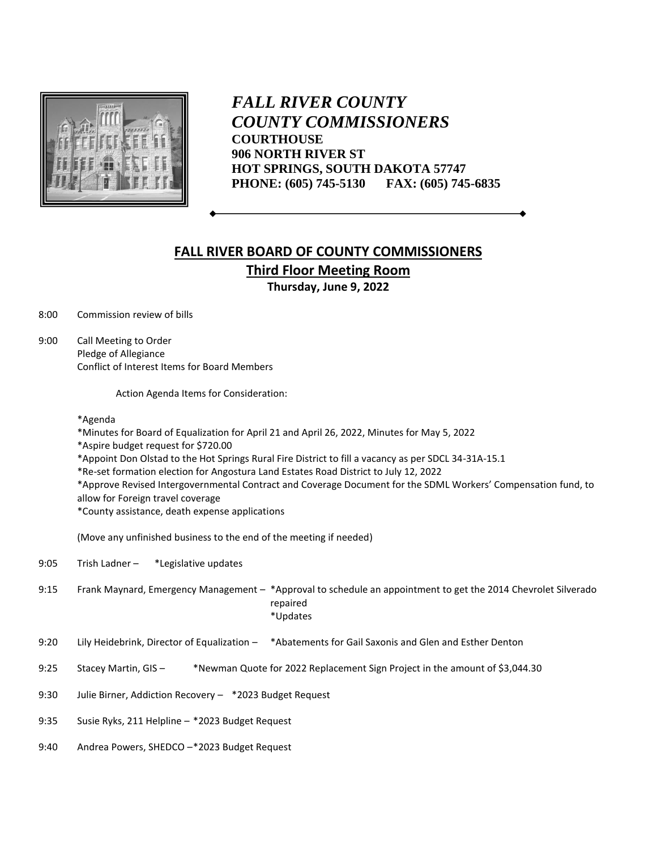

 *FALL RIVER COUNTY COUNTY COMMISSIONERS* **COURTHOUSE 906 NORTH RIVER ST HOT SPRINGS, SOUTH DAKOTA 57747 PHONE: (605) 745-5130 FAX: (605) 745-6835**

## **FALL RIVER BOARD OF COUNTY COMMISSIONERS Third Floor Meeting Room Thursday, June 9, 2022**

8:00 Commission review of bills

9:00 Call Meeting to Order Pledge of Allegiance Conflict of Interest Items for Board Members

Action Agenda Items for Consideration:

\*Agenda

\*Minutes for Board of Equalization for April 21 and April 26, 2022, Minutes for May 5, 2022

\*Aspire budget request for \$720.00

\*Appoint Don Olstad to the Hot Springs Rural Fire District to fill a vacancy as per SDCL 34-31A-15.1

\*Re-set formation election for Angostura Land Estates Road District to July 12, 2022

\*Approve Revised Intergovernmental Contract and Coverage Document for the SDML Workers' Compensation fund, to allow for Foreign travel coverage

\*County assistance, death expense applications

(Move any unfinished business to the end of the meeting if needed)

9:05 Trish Ladner – \*Legislative updates

- 9:15 Frank Maynard, Emergency Management \*Approval to schedule an appointment to get the 2014 Chevrolet Silverado repaired \*Updates
- 9:20 Lily Heidebrink, Director of Equalization \*Abatements for Gail Saxonis and Glen and Esther Denton
- 9:25 Stacey Martin, GIS \*Newman Quote for 2022 Replacement Sign Project in the amount of \$3,044.30
- 9:30 Julie Birner, Addiction Recovery \*2023 Budget Request
- 9:35 Susie Ryks, 211 Helpline \*2023 Budget Request
- 9:40 Andrea Powers, SHEDCO –\*2023 Budget Request